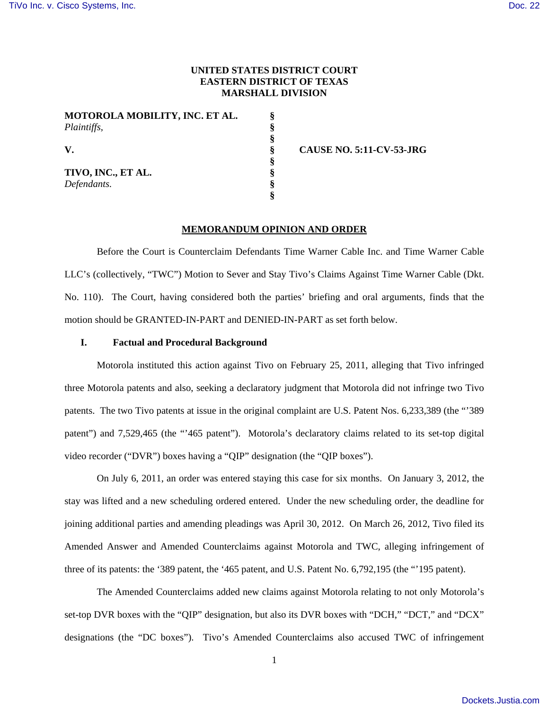## **UNITED STATES DISTRICT COURT EASTERN DISTRICT OF TEXAS MARSHALL DIVISION**

**§ § § § § § § §** 

**MOTOROLA MOBILITY, INC. ET AL.**  *Plaintiffs,* 

**V.** 

**TIVO, INC., ET AL.**  *Defendants.* 

**CAUSE NO. 5:11-CV-53-JRG** 

### **MEMORANDUM OPINION AND ORDER**

Before the Court is Counterclaim Defendants Time Warner Cable Inc. and Time Warner Cable LLC's (collectively, "TWC") Motion to Sever and Stay Tivo's Claims Against Time Warner Cable (Dkt. No. 110). The Court, having considered both the parties' briefing and oral arguments, finds that the motion should be GRANTED-IN-PART and DENIED-IN-PART as set forth below.

# **I. Factual and Procedural Background**

Motorola instituted this action against Tivo on February 25, 2011, alleging that Tivo infringed three Motorola patents and also, seeking a declaratory judgment that Motorola did not infringe two Tivo patents. The two Tivo patents at issue in the original complaint are U.S. Patent Nos. 6,233,389 (the "'389 patent") and 7,529,465 (the "'465 patent"). Motorola's declaratory claims related to its set-top digital video recorder ("DVR") boxes having a "QIP" designation (the "QIP boxes").

On July 6, 2011, an order was entered staying this case for six months. On January 3, 2012, the stay was lifted and a new scheduling ordered entered. Under the new scheduling order, the deadline for joining additional parties and amending pleadings was April 30, 2012. On March 26, 2012, Tivo filed its Amended Answer and Amended Counterclaims against Motorola and TWC, alleging infringement of three of its patents: the '389 patent, the '465 patent, and U.S. Patent No. 6,792,195 (the "'195 patent).

The Amended Counterclaims added new claims against Motorola relating to not only Motorola's set-top DVR boxes with the "QIP" designation, but also its DVR boxes with "DCH," "DCT," and "DCX" designations (the "DC boxes"). Tivo's Amended Counterclaims also accused TWC of infringement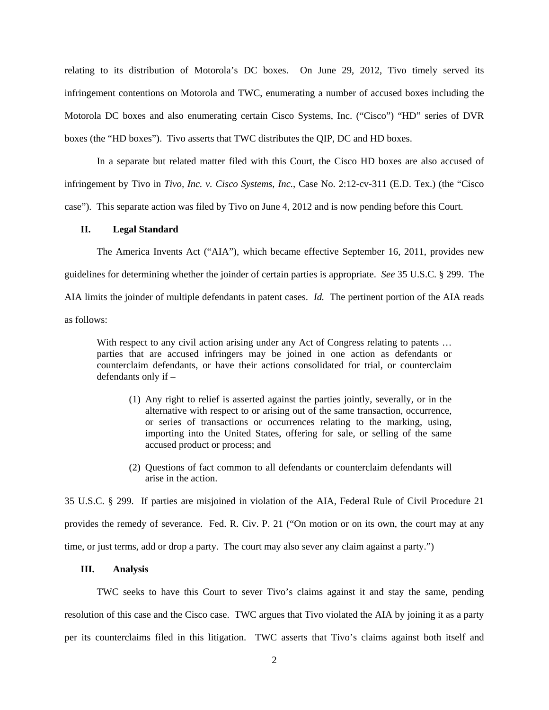relating to its distribution of Motorola's DC boxes. On June 29, 2012, Tivo timely served its infringement contentions on Motorola and TWC, enumerating a number of accused boxes including the Motorola DC boxes and also enumerating certain Cisco Systems, Inc. ("Cisco") "HD" series of DVR boxes (the "HD boxes"). Tivo asserts that TWC distributes the QIP, DC and HD boxes.

In a separate but related matter filed with this Court, the Cisco HD boxes are also accused of infringement by Tivo in *Tivo, Inc. v. Cisco Systems, Inc.*, Case No. 2:12-cv-311 (E.D. Tex.) (the "Cisco case"). This separate action was filed by Tivo on June 4, 2012 and is now pending before this Court.

### **II. Legal Standard**

The America Invents Act ("AIA"), which became effective September 16, 2011, provides new guidelines for determining whether the joinder of certain parties is appropriate. *See* 35 U.S.C. § 299. The AIA limits the joinder of multiple defendants in patent cases. *Id.* The pertinent portion of the AIA reads as follows:

With respect to any civil action arising under any Act of Congress relating to patents ... parties that are accused infringers may be joined in one action as defendants or counterclaim defendants, or have their actions consolidated for trial, or counterclaim defendants only if –

- (1) Any right to relief is asserted against the parties jointly, severally, or in the alternative with respect to or arising out of the same transaction, occurrence, or series of transactions or occurrences relating to the marking, using, importing into the United States, offering for sale, or selling of the same accused product or process; and
- (2) Questions of fact common to all defendants or counterclaim defendants will arise in the action.

35 U.S.C. § 299. If parties are misjoined in violation of the AIA, Federal Rule of Civil Procedure 21 provides the remedy of severance. Fed. R. Civ. P. 21 ("On motion or on its own, the court may at any time, or just terms, add or drop a party. The court may also sever any claim against a party.")

#### **III. Analysis**

TWC seeks to have this Court to sever Tivo's claims against it and stay the same, pending resolution of this case and the Cisco case. TWC argues that Tivo violated the AIA by joining it as a party per its counterclaims filed in this litigation. TWC asserts that Tivo's claims against both itself and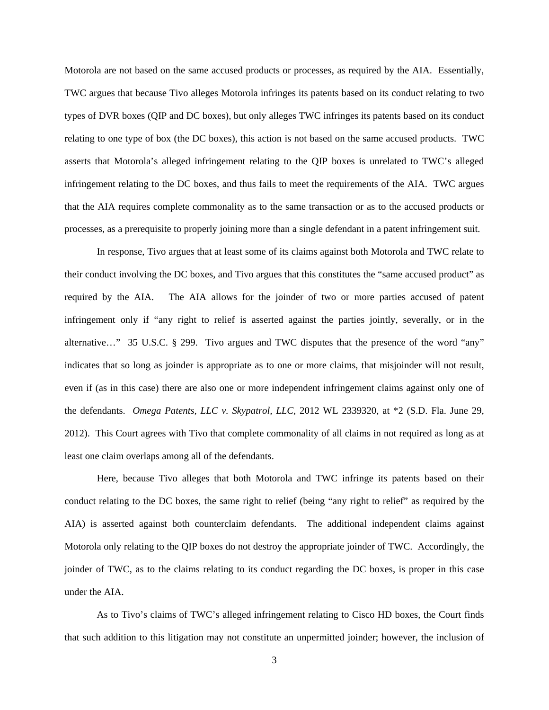Motorola are not based on the same accused products or processes, as required by the AIA. Essentially, TWC argues that because Tivo alleges Motorola infringes its patents based on its conduct relating to two types of DVR boxes (QIP and DC boxes), but only alleges TWC infringes its patents based on its conduct relating to one type of box (the DC boxes), this action is not based on the same accused products. TWC asserts that Motorola's alleged infringement relating to the QIP boxes is unrelated to TWC's alleged infringement relating to the DC boxes, and thus fails to meet the requirements of the AIA. TWC argues that the AIA requires complete commonality as to the same transaction or as to the accused products or processes, as a prerequisite to properly joining more than a single defendant in a patent infringement suit.

In response, Tivo argues that at least some of its claims against both Motorola and TWC relate to their conduct involving the DC boxes, and Tivo argues that this constitutes the "same accused product" as required by the AIA. The AIA allows for the joinder of two or more parties accused of patent infringement only if "any right to relief is asserted against the parties jointly, severally, or in the alternative…" 35 U.S.C. § 299. Tivo argues and TWC disputes that the presence of the word "any" indicates that so long as joinder is appropriate as to one or more claims, that misjoinder will not result, even if (as in this case) there are also one or more independent infringement claims against only one of the defendants. *Omega Patents, LLC v. Skypatrol, LLC*, 2012 WL 2339320, at \*2 (S.D. Fla. June 29, 2012). This Court agrees with Tivo that complete commonality of all claims in not required as long as at least one claim overlaps among all of the defendants.

Here, because Tivo alleges that both Motorola and TWC infringe its patents based on their conduct relating to the DC boxes, the same right to relief (being "any right to relief" as required by the AIA) is asserted against both counterclaim defendants. The additional independent claims against Motorola only relating to the QIP boxes do not destroy the appropriate joinder of TWC. Accordingly, the joinder of TWC, as to the claims relating to its conduct regarding the DC boxes, is proper in this case under the AIA.

As to Tivo's claims of TWC's alleged infringement relating to Cisco HD boxes, the Court finds that such addition to this litigation may not constitute an unpermitted joinder; however, the inclusion of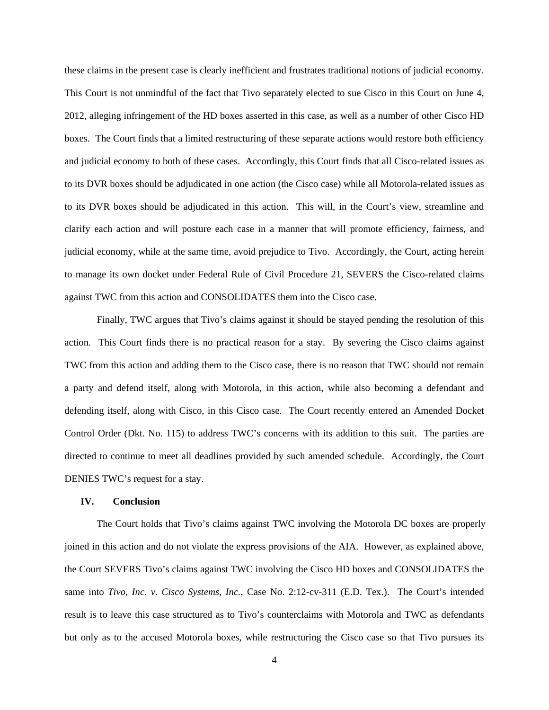these claims in the present case is clearly inefficient and frustrates traditional notions of judicial economy. This Court is not unmindful of the fact that Tivo separately elected to sue Cisco in this Court on June 4, 2012, alleging infringement of the HD boxes asserted in this case, as well as a number of other Cisco HD boxes. The Court finds that a limited restructuring of these separate actions would restore both efficiency and judicial economy to both of these cases. Accordingly, this Court finds that all Cisco-related issues as to its DVR boxes should be adjudicated in one action (the Cisco case) while all Motorola-related issues as to its DVR boxes should be adjudicated in this action. This will, in the Court's view, streamline and clarify each action and will posture each case in a manner that will promote efficiency, fairness, and judicial economy, while at the same time, avoid prejudice to Tivo. Accordingly, the Court, acting herein to manage its own docket under Federal Rule of Civil Procedure 21, SEVERS the Cisco-related claims against TWC from this action and CONSOLIDATES them into the Cisco case.

Finally, TWC argues that Tivo's claims against it should be stayed pending the resolution of this action. This Court finds there is no practical reason for a stay. By severing the Cisco claims against TWC from this action and adding them to the Cisco case, there is no reason that TWC should not remain a party and defend itself, along with Motorola, in this action, while also becoming a defendant and defending itself, along with Cisco, in this Cisco case. The Court recently entered an Amended Docket Control Order (Dkt. No. 115) to address TWC's concerns with its addition to this suit. The parties are directed to continue to meet all deadlines provided by such amended schedule. Accordingly, the Court DENIES TWC's request for a stay.

#### **IV. Conclusion**

The Court holds that Tivo's claims against TWC involving the Motorola DC boxes are properly joined in this action and do not violate the express provisions of the AIA. However, as explained above, the Court SEVERS Tivo's claims against TWC involving the Cisco HD boxes and CONSOLIDATES the same into *Tivo, Inc. v. Cisco Systems, Inc.*, Case No. 2:12-cv-311 (E.D. Tex.). The Court's intended result is to leave this case structured as to Tivo's counterclaims with Motorola and TWC as defendants but only as to the accused Motorola boxes, while restructuring the Cisco case so that Tivo pursues its